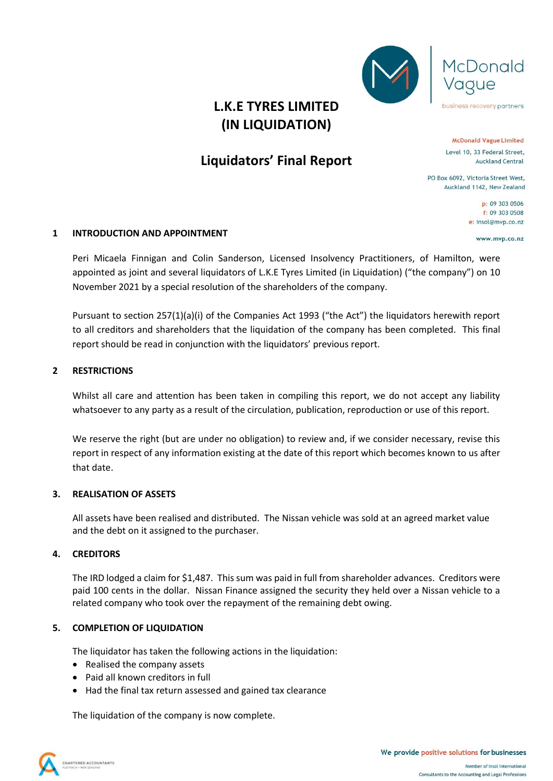



business recovery partners

**(IN LIQUIDATION)**

# **Liquidators' Final Report**

**McDonald Vague Limited** Level 10, 33 Federal Street, **Auckland Central** 

PO Box 6092, Victoria Street West, Auckland 1142, New Zealand

> p: 09 303 0506 f: 09 303 0508 e: insol@mvp.co.nz

> > www.mvp.co.nz

# **1 INTRODUCTION AND APPOINTMENT**

Peri Micaela Finnigan and Colin Sanderson, Licensed Insolvency Practitioners, of Hamilton, were appointed as joint and several liquidators of L.K.E Tyres Limited (in Liquidation) ("the company") on 10 November 2021 by a special resolution of the shareholders of the company.

Pursuant to section 257(1)(a)(i) of the Companies Act 1993 ("the Act") the liquidators herewith report to all creditors and shareholders that the liquidation of the company has been completed. This final report should be read in conjunction with the liquidators' previous report.

### **2 RESTRICTIONS**

Whilst all care and attention has been taken in compiling this report, we do not accept any liability whatsoever to any party as a result of the circulation, publication, reproduction or use of this report.

We reserve the right (but are under no obligation) to review and, if we consider necessary, revise this report in respect of any information existing at the date of this report which becomes known to us after that date.

#### **3. REALISATION OF ASSETS**

All assets have been realised and distributed. The Nissan vehicle was sold at an agreed market value and the debt on it assigned to the purchaser.

# **4. CREDITORS**

The IRD lodged a claim for \$1,487. This sum was paid in full from shareholder advances. Creditors were paid 100 cents in the dollar. Nissan Finance assigned the security they held over a Nissan vehicle to a related company who took over the repayment of the remaining debt owing.

# **5. COMPLETION OF LIQUIDATION**

The liquidator has taken the following actions in the liquidation:

- Realised the company assets
- Paid all known creditors in full
- Had the final tax return assessed and gained tax clearance

The liquidation of the company is now complete.